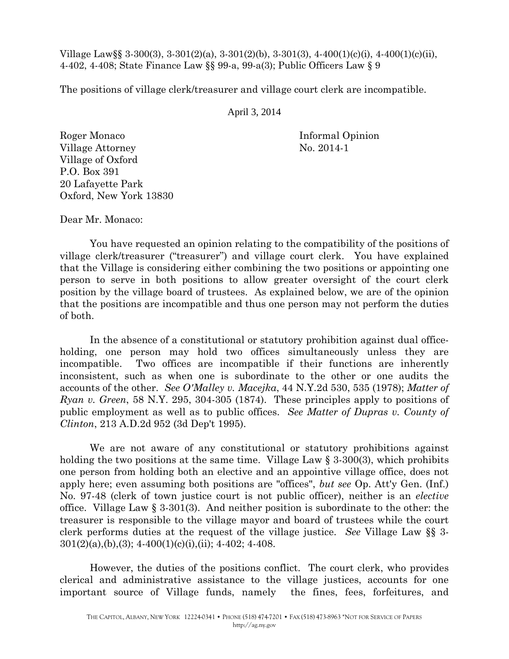Village Law§§ 3-300(3), 3-301(2)(a), 3-301(2)(b), 3-301(3), 4-400(1)(c)(i), 4-400(1)(c)(ii), 4-402, 4-408; State Finance Law §§ 99-a, 99-a(3); Public Officers Law § 9

The positions of village clerk/treasurer and village court clerk are incompatible.

April 3, 2014

Roger Monaco Informal Opinion Village Attorney No. 2014-1 Village of Oxford P.O. Box 391 20 Lafayette Park Oxford, New York 13830

Dear Mr. Monaco:

You have requested an opinion relating to the compatibility of the positions of village clerk/treasurer ("treasurer") and village court clerk. You have explained that the Village is considering either combining the two positions or appointing one person to serve in both positions to allow greater oversight of the court clerk position by the village board of trustees. As explained below, we are of the opinion that the positions are incompatible and thus one person may not perform the duties of both.

In the absence of a constitutional or statutory prohibition against dual officeholding, one person may hold two offices simultaneously unless they are incompatible. Two offices are incompatible if their functions are inherently inconsistent, such as when one is subordinate to the other or one audits the accounts of the other. *See O'Malley v. Macejka*, 44 N.Y.2d 530, 535 (1978); *Matter of Ryan v. Green*, 58 N.Y. 295, 304-305 (1874). These principles apply to positions of public employment as well as to public offices. *See Matter of Dupras v. County of Clinton*, 213 A.D.2d 952 (3d Dep't 1995).

We are not aware of any constitutional or statutory prohibitions against holding the two positions at the same time. Village Law  $\S$  3-300(3), which prohibits one person from holding both an elective and an appointive village office, does not apply here; even assuming both positions are "offices", *but see* Op. Att'y Gen. (Inf.) No. 97-48 (clerk of town justice court is not public officer), neither is an *elective* office. Village Law § 3-301(3). And neither position is subordinate to the other: the treasurer is responsible to the village mayor and board of trustees while the court clerk performs duties at the request of the village justice. *See* Village Law §§ 3-  $301(2)(a),(b),(3); 4-400(1)(c)(i),(ii); 4-402; 4-408.$ 

However, the duties of the positions conflict. The court clerk, who provides clerical and administrative assistance to the village justices, accounts for one important source of Village funds, namely the fines, fees, forfeitures, and